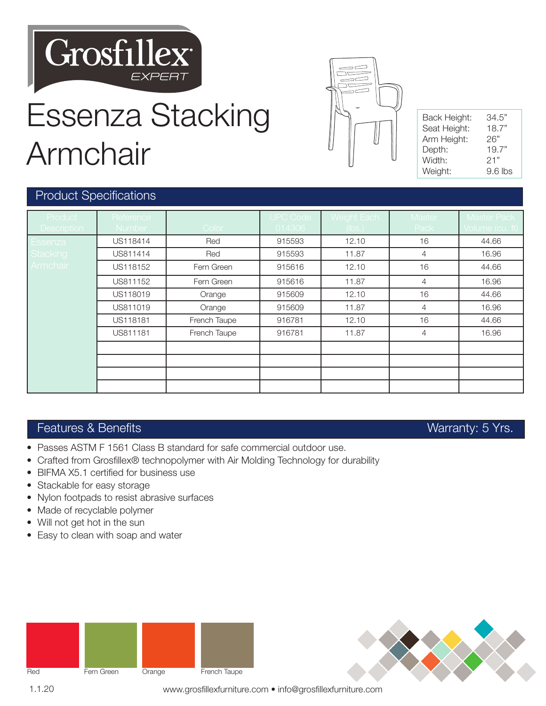

# Essenza Stacking Armchair



ESSENZA ARMCHAIR

| Back Height: | 34.5"     |  |  |
|--------------|-----------|--|--|
| Seat Height: | 18.7"     |  |  |
| Arm Height:  | 26"       |  |  |
| Depth:       | 19.7"     |  |  |
| Width:       | 21"       |  |  |
| Weight:      | $9.6$ lbs |  |  |

### Product Specifications

| Product<br><b>Description</b> | Reference<br><b>Number</b> | Color        | <b>UPC Code</b><br>014306 | Weight Each<br>(lbs.) | Master<br>Pack | <b>Master Pack</b><br>Volume (cu. ft) |
|-------------------------------|----------------------------|--------------|---------------------------|-----------------------|----------------|---------------------------------------|
| <b>Essenza</b>                | US118414                   | Red          | 915593                    | 12.10                 | 16             | 44.66                                 |
| Stacking                      | US811414                   | Red          | 915593                    | 11.87                 | 4              | 16.96                                 |
| <b>Armchair</b>               | US118152                   | Fern Green   | 915616                    | 12.10                 | 16             | 44.66                                 |
|                               | US811152                   | Fern Green   | 915616                    | 11.87                 | 4              | 16.96                                 |
|                               | US118019                   | Orange       | 915609                    | 12.10                 | 16             | 44.66                                 |
|                               | US811019                   | Orange       | 915609                    | 11.87                 | $\overline{4}$ | 16.96                                 |
|                               | US118181                   | French Taupe | 916781                    | 12.10                 | 16             | 44.66                                 |
|                               | US811181                   | French Taupe | 916781                    | 11.87                 | $\overline{4}$ | 16.96                                 |
|                               |                            |              |                           |                       |                |                                       |
|                               |                            |              |                           |                       |                |                                       |
|                               |                            |              |                           |                       |                |                                       |
|                               |                            |              |                           |                       |                |                                       |

### Features & Benefits Warranty: 5 Yrs.

- Passes ASTM F 1561 Class B standard for safe commercial outdoor use.
- Crafted from Grosfillex® technopolymer with Air Molding Technology for durability
- BIFMA X5.1 certified for business use
- Stackable for easy storage
- Nylon footpads to resist abrasive surfaces
- Made of recyclable polymer
- Will not get hot in the sun
- Easy to clean with soap and water